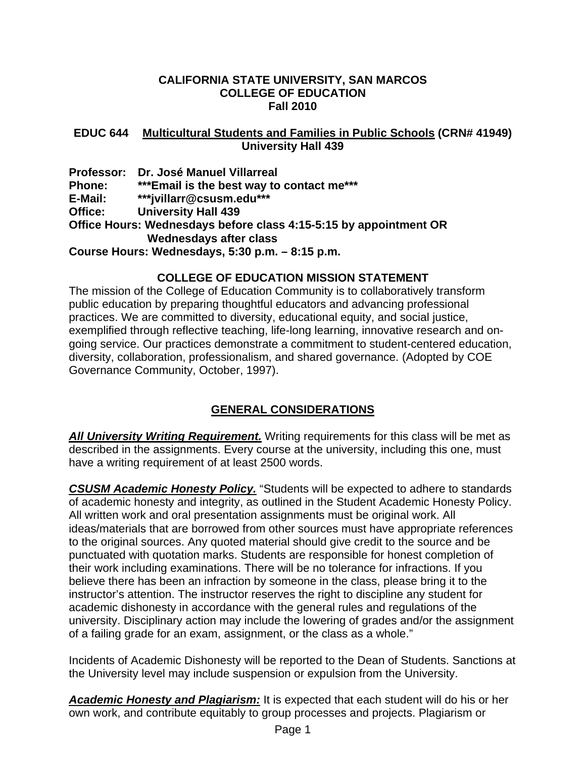#### **CALIFORNIA STATE UNIVERSITY, SAN MARCOS COLLEGE OF EDUCATION Fall 2010**

#### **EDUC 644 Multicultural Students and Families in Public Schools (CRN# 41949) University Hall 439**

**Professor: Dr. José Manuel Villarreal Phone: \*\*\*Email is the best way to contact me\*\*\* E-Mail: \*\*\*jvillarr@csusm.edu\*\*\* Office: University Hall 439 Office Hours: Wednesdays before class 4:15-5:15 by appointment OR Wednesdays after class Course Hours: Wednesdays, 5:30 p.m. – 8:15 p.m.** 

## **COLLEGE OF EDUCATION MISSION STATEMENT**

The mission of the College of Education Community is to collaboratively transform public education by preparing thoughtful educators and advancing professional practices. We are committed to diversity, educational equity, and social justice, exemplified through reflective teaching, life-long learning, innovative research and ongoing service. Our practices demonstrate a commitment to student-centered education, diversity, collaboration, professionalism, and shared governance. (Adopted by COE Governance Community, October, 1997).

# **GENERAL CONSIDERATIONS**

*All University Writing Requirement.* Writing requirements for this class will be met as described in the assignments. Every course at the university, including this one, must have a writing requirement of at least 2500 words.

*CSUSM Academic Honesty Policy.* "Students will be expected to adhere to standards of academic honesty and integrity, as outlined in the Student Academic Honesty Policy. All written work and oral presentation assignments must be original work. All ideas/materials that are borrowed from other sources must have appropriate references to the original sources. Any quoted material should give credit to the source and be punctuated with quotation marks. Students are responsible for honest completion of their work including examinations. There will be no tolerance for infractions. If you believe there has been an infraction by someone in the class, please bring it to the instructor's attention. The instructor reserves the right to discipline any student for academic dishonesty in accordance with the general rules and regulations of the university. Disciplinary action may include the lowering of grades and/or the assignment of a failing grade for an exam, assignment, or the class as a whole."

Incidents of Academic Dishonesty will be reported to the Dean of Students. Sanctions at the University level may include suspension or expulsion from the University.

*Academic Honesty and Plagiarism:* It is expected that each student will do his or her own work, and contribute equitably to group processes and projects. Plagiarism or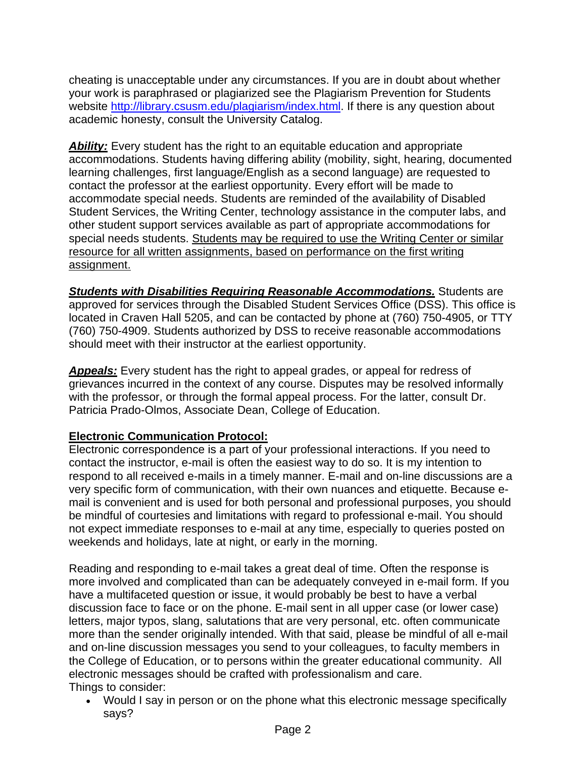cheating is unacceptable under any circumstances. If you are in doubt about whether your work is paraphrased or plagiarized see the Plagiarism Prevention for Students website <http://library.csusm.edu/plagiarism/index.html>. If there is any question about academic honesty, consult the University Catalog.

**Ability:** Every student has the right to an equitable education and appropriate accommodations. Students having differing ability (mobility, sight, hearing, documented learning challenges, first language/English as a second language) are requested to contact the professor at the earliest opportunity. Every effort will be made to accommodate special needs. Students are reminded of the availability of Disabled Student Services, the Writing Center, technology assistance in the computer labs, and other student support services available as part of appropriate accommodations for special needs students. Students may be required to use the Writing Center or similar resource for all written assignments, based on performance on the first writing assignment.

*Students with Disabilities Requiring Reasonable Accommodations.* Students are approved for services through the Disabled Student Services Office (DSS). This office is located in Craven Hall 5205, and can be contacted by phone at (760) 750-4905, or TTY (760) 750-4909. Students authorized by DSS to receive reasonable accommodations should meet with their instructor at the earliest opportunity.

*Appeals:* Every student has the right to appeal grades, or appeal for redress of grievances incurred in the context of any course. Disputes may be resolved informally with the professor, or through the formal appeal process. For the latter, consult Dr. Patricia Prado-Olmos, Associate Dean, College of Education.

# **Electronic Communication Protocol:**

Electronic correspondence is a part of your professional interactions. If you need to contact the instructor, e-mail is often the easiest way to do so. It is my intention to respond to all received e-mails in a timely manner. E-mail and on-line discussions are a very specific form of communication, with their own nuances and etiquette. Because email is convenient and is used for both personal and professional purposes, you should be mindful of courtesies and limitations with regard to professional e-mail. You should not expect immediate responses to e-mail at any time, especially to queries posted on weekends and holidays, late at night, or early in the morning.

Reading and responding to e-mail takes a great deal of time. Often the response is more involved and complicated than can be adequately conveyed in e-mail form. If you have a multifaceted question or issue, it would probably be best to have a verbal discussion face to face or on the phone. E-mail sent in all upper case (or lower case) letters, major typos, slang, salutations that are very personal, etc. often communicate more than the sender originally intended. With that said, please be mindful of all e-mail and on-line discussion messages you send to your colleagues, to faculty members in the College of Education, or to persons within the greater educational community. All electronic messages should be crafted with professionalism and care. Things to consider:

• Would I say in person or on the phone what this electronic message specifically says?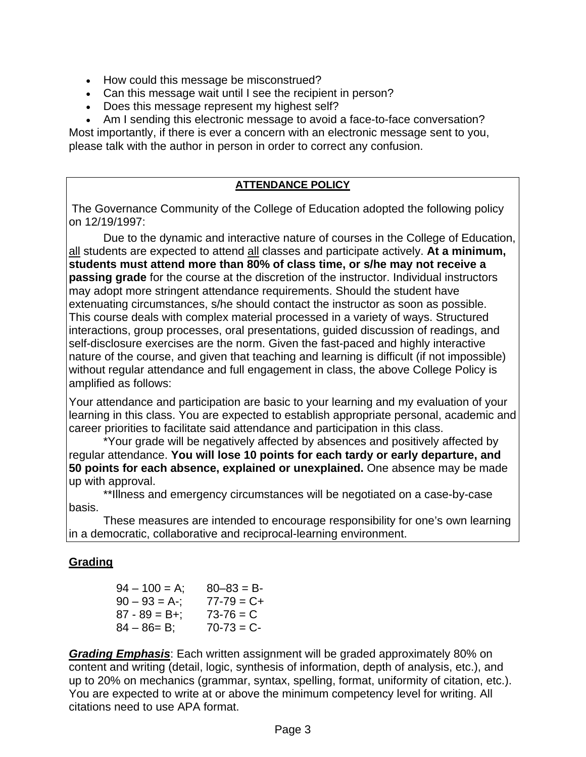- How could this message be misconstrued?
- Can this message wait until I see the recipient in person?
- Does this message represent my highest self?

• Am I sending this electronic message to avoid a face-to-face conversation?

Most importantly, if there is ever a concern with an electronic message sent to you, please talk with the author in person in order to correct any confusion.

## **ATTENDANCE POLICY**

The Governance Community of the College of Education adopted the following policy on 12/19/1997:

 Due to the dynamic and interactive nature of courses in the College of Education, all students are expected to attend all classes and participate actively. **At a minimum, students must attend more than 80% of class time, or s/he may not receive a passing grade** for the course at the discretion of the instructor. Individual instructors may adopt more stringent attendance requirements. Should the student have extenuating circumstances, s/he should contact the instructor as soon as possible. This course deals with complex material processed in a variety of ways. Structured interactions, group processes, oral presentations, guided discussion of readings, and self-disclosure exercises are the norm. Given the fast-paced and highly interactive nature of the course, and given that teaching and learning is difficult (if not impossible) without regular attendance and full engagement in class, the above College Policy is amplified as follows:

Your attendance and participation are basic to your learning and my evaluation of your learning in this class. You are expected to establish appropriate personal, academic and career priorities to facilitate said attendance and participation in this class.

 \*Your grade will be negatively affected by absences and positively affected by regular attendance. **You will lose 10 points for each tardy or early departure, and 50 points for each absence, explained or unexplained.** One absence may be made up with approval.

 \*\*Illness and emergency circumstances will be negotiated on a case-by-case basis.

These measures are intended to encourage responsibility for one's own learning in a democratic, collaborative and reciprocal-learning environment.

# **Grading**

| $94 - 100 = A$ ;  | $80 - 83 = B$   |
|-------------------|-----------------|
| $90 - 93 = A -$ ; | $77 - 79 = C +$ |
| $87 - 89 = B +$ ; | $73 - 76 = C$   |
| $84 - 86 = B$ ;   | $70 - 73 = C -$ |

*Grading Emphasis*: Each written assignment will be graded approximately 80% on content and writing (detail, logic, synthesis of information, depth of analysis, etc.), and up to 20% on mechanics (grammar, syntax, spelling, format, uniformity of citation, etc.). You are expected to write at or above the minimum competency level for writing. All citations need to use APA format.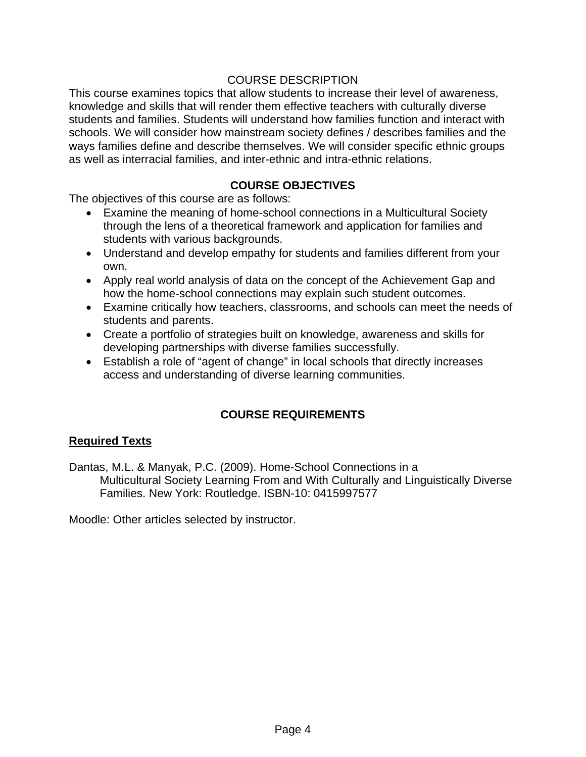## COURSE DESCRIPTION

This course examines topics that allow students to increase their level of awareness, knowledge and skills that will render them effective teachers with culturally diverse students and families. Students will understand how families function and interact with schools. We will consider how mainstream society defines / describes families and the ways families define and describe themselves. We will consider specific ethnic groups as well as interracial families, and inter-ethnic and intra-ethnic relations.

## **COURSE OBJECTIVES**

The objectives of this course are as follows:

- Examine the meaning of home-school connections in a Multicultural Society through the lens of a theoretical framework and application for families and students with various backgrounds.
- Understand and develop empathy for students and families different from your own.
- Apply real world analysis of data on the concept of the Achievement Gap and how the home-school connections may explain such student outcomes.
- Examine critically how teachers, classrooms, and schools can meet the needs of students and parents.
- Create a portfolio of strategies built on knowledge, awareness and skills for developing partnerships with diverse families successfully.
- Establish a role of "agent of change" in local schools that directly increases access and understanding of diverse learning communities.

# **COURSE REQUIREMENTS**

#### **Required Texts**

Dantas, M.L. & Manyak, P.C. (2009). Home-School Connections in a Multicultural Society Learning From and With Culturally and Linguistically Diverse Families. New York: Routledge. ISBN-10: 0415997577

Moodle: Other articles selected by instructor.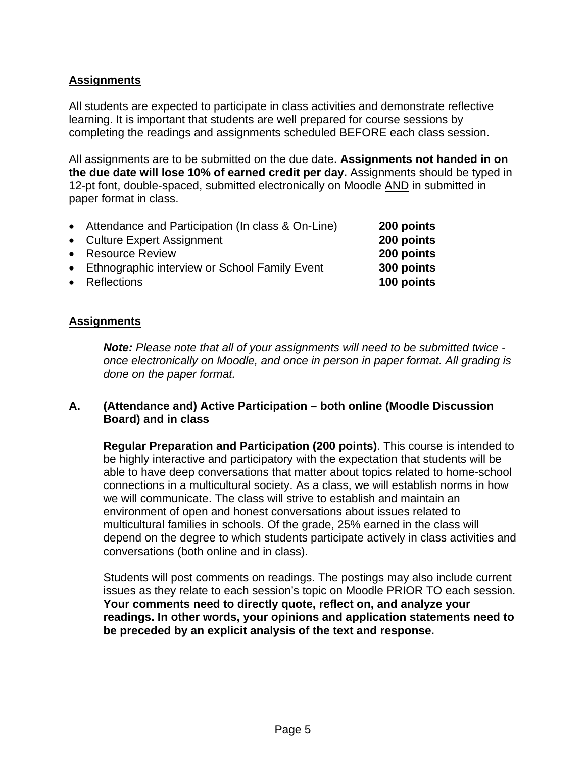## **Assignments**

All students are expected to participate in class activities and demonstrate reflective learning. It is important that students are well prepared for course sessions by completing the readings and assignments scheduled BEFORE each class session.

All assignments are to be submitted on the due date. **Assignments not handed in on the due date will lose 10% of earned credit per day.** Assignments should be typed in 12-pt font, double-spaced, submitted electronically on Moodle AND in submitted in paper format in class.

- Attendance and Participation (In class & On-Line) **200 points**
- Culture Expert Assignment **200 points**
- Resource Review **200 points**
- Ethnographic interview or School Family Event **300 points**
- Reflections **100 points**

#### **Assignments**

*Note: Please note that all of your assignments will need to be submitted twice once electronically on Moodle, and once in person in paper format. All grading is done on the paper format.* 

#### **A. (Attendance and) Active Participation – both online (Moodle Discussion Board) and in class**

**Regular Preparation and Participation (200 points)**. This course is intended to be highly interactive and participatory with the expectation that students will be able to have deep conversations that matter about topics related to home-school connections in a multicultural society. As a class, we will establish norms in how we will communicate. The class will strive to establish and maintain an environment of open and honest conversations about issues related to multicultural families in schools. Of the grade, 25% earned in the class will depend on the degree to which students participate actively in class activities and conversations (both online and in class).

Students will post comments on readings. The postings may also include current issues as they relate to each session's topic on Moodle PRIOR TO each session. **Your comments need to directly quote, reflect on, and analyze your readings. In other words, your opinions and application statements need to be preceded by an explicit analysis of the text and response.**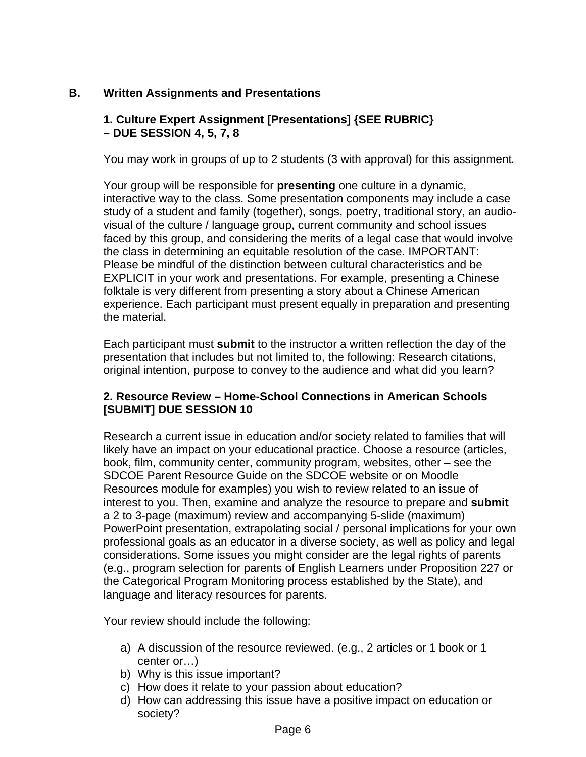# **B. Written Assignments and Presentations**

# **1. Culture Expert Assignment [Presentations] {SEE RUBRIC} – DUE SESSION 4, 5, 7, 8**

You may work in groups of up to 2 students (3 with approval) for this assignment*.*

Your group will be responsible for **presenting** one culture in a dynamic, interactive way to the class. Some presentation components may include a case study of a student and family (together), songs, poetry, traditional story, an audiovisual of the culture / language group, current community and school issues faced by this group, and considering the merits of a legal case that would involve the class in determining an equitable resolution of the case. IMPORTANT: Please be mindful of the distinction between cultural characteristics and be EXPLICIT in your work and presentations. For example, presenting a Chinese folktale is very different from presenting a story about a Chinese American experience. Each participant must present equally in preparation and presenting the material.

Each participant must **submit** to the instructor a written reflection the day of the presentation that includes but not limited to, the following: Research citations, original intention, purpose to convey to the audience and what did you learn?

# **2. Resource Review – Home-School Connections in American Schools [SUBMIT] DUE SESSION 10**

Research a current issue in education and/or society related to families that will likely have an impact on your educational practice. Choose a resource (articles, book, film, community center, community program, websites, other – see the SDCOE Parent Resource Guide on the SDCOE website or on Moodle Resources module for examples) you wish to review related to an issue of interest to you. Then, examine and analyze the resource to prepare and **submit** a 2 to 3-page (maximum) review and accompanying 5-slide (maximum) PowerPoint presentation, extrapolating social / personal implications for your own professional goals as an educator in a diverse society, as well as policy and legal considerations. Some issues you might consider are the legal rights of parents (e.g., program selection for parents of English Learners under Proposition 227 or the Categorical Program Monitoring process established by the State), and language and literacy resources for parents.

Your review should include the following:

- a) A discussion of the resource reviewed. (e.g., 2 articles or 1 book or 1 center or…)
- b) Why is this issue important?
- c) How does it relate to your passion about education?
- d) How can addressing this issue have a positive impact on education or society?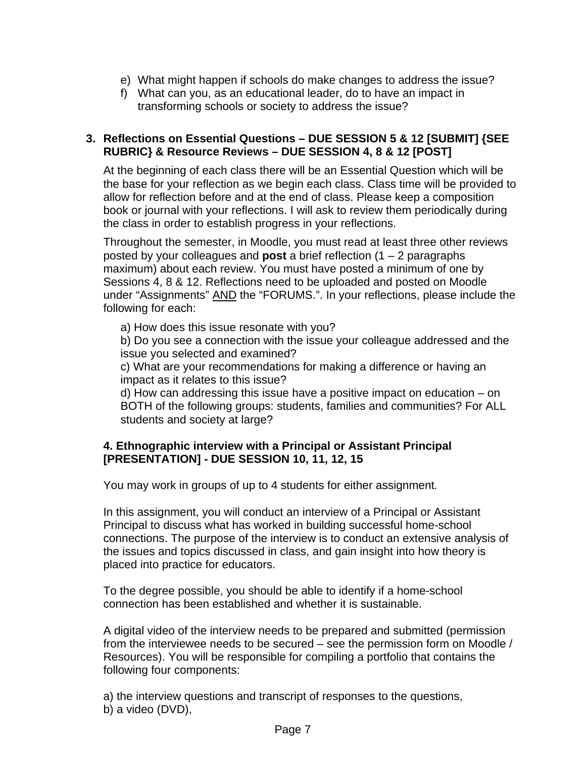- e) What might happen if schools do make changes to address the issue?
- f) What can you, as an educational leader, do to have an impact in transforming schools or society to address the issue?

## **3. Reflections on Essential Questions – DUE SESSION 5 & 12 [SUBMIT] {SEE RUBRIC} & Resource Reviews – DUE SESSION 4, 8 & 12 [POST]**

At the beginning of each class there will be an Essential Question which will be the base for your reflection as we begin each class. Class time will be provided to allow for reflection before and at the end of class. Please keep a composition book or journal with your reflections. I will ask to review them periodically during the class in order to establish progress in your reflections.

Throughout the semester, in Moodle, you must read at least three other reviews posted by your colleagues and **post** a brief reflection (1 – 2 paragraphs maximum) about each review. You must have posted a minimum of one by Sessions 4, 8 & 12. Reflections need to be uploaded and posted on Moodle under "Assignments" AND the "FORUMS.". In your reflections, please include the following for each:

a) How does this issue resonate with you?

b) Do you see a connection with the issue your colleague addressed and the issue you selected and examined?

c) What are your recommendations for making a difference or having an impact as it relates to this issue?

d) How can addressing this issue have a positive impact on education – on BOTH of the following groups: students, families and communities? For ALL students and society at large?

## **4. Ethnographic interview with a Principal or Assistant Principal [PRESENTATION] - DUE SESSION 10, 11, 12, 15**

You may work in groups of up to 4 students for either assignment*.*

In this assignment, you will conduct an interview of a Principal or Assistant Principal to discuss what has worked in building successful home-school connections. The purpose of the interview is to conduct an extensive analysis of the issues and topics discussed in class, and gain insight into how theory is placed into practice for educators.

To the degree possible, you should be able to identify if a home-school connection has been established and whether it is sustainable.

A digital video of the interview needs to be prepared and submitted (permission from the interviewee needs to be secured – see the permission form on Moodle / Resources). You will be responsible for compiling a portfolio that contains the following four components:

a) the interview questions and transcript of responses to the questions, b) a video (DVD),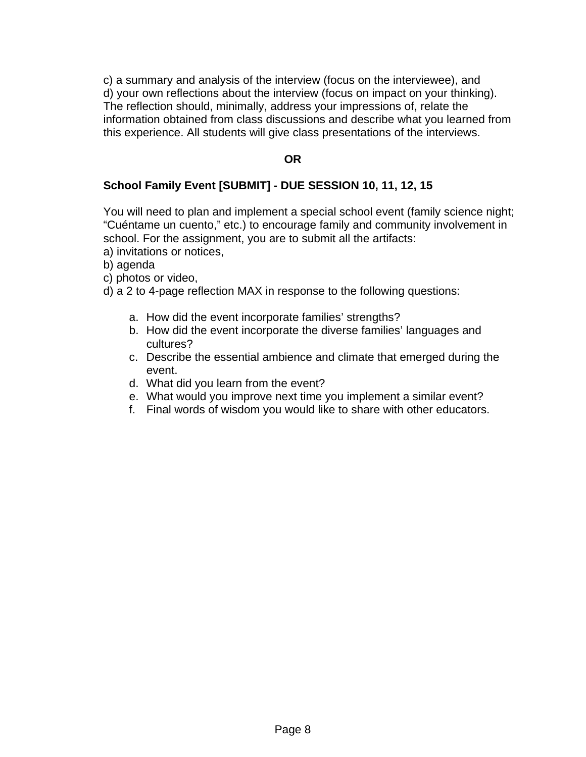c) a summary and analysis of the interview (focus on the interviewee), and d) your own reflections about the interview (focus on impact on your thinking). The reflection should, minimally, address your impressions of, relate the information obtained from class discussions and describe what you learned from this experience. All students will give class presentations of the interviews.

# **OR**

## **School Family Event [SUBMIT] - DUE SESSION 10, 11, 12, 15**

You will need to plan and implement a special school event (family science night; "Cuéntame un cuento," etc.) to encourage family and community involvement in school. For the assignment, you are to submit all the artifacts:

- a) invitations or notices,
- b) agenda
- c) photos or video,
- d) a 2 to 4-page reflection MAX in response to the following questions:
	- a. How did the event incorporate families' strengths?
	- b. How did the event incorporate the diverse families' languages and cultures?
	- c. Describe the essential ambience and climate that emerged during the event.
	- d. What did you learn from the event?
	- e. What would you improve next time you implement a similar event?
	- f. Final words of wisdom you would like to share with other educators.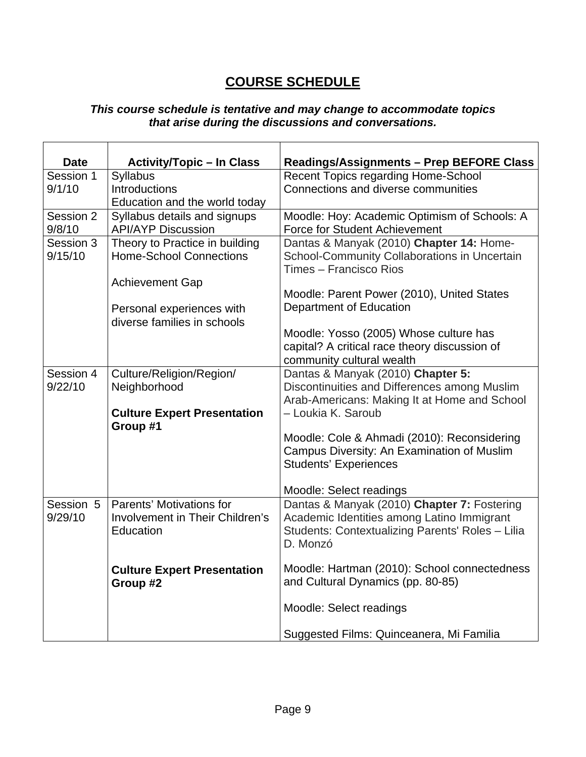# **COURSE SCHEDULE**

#### *This course schedule is tentative and may change to accommodate topics that arise during the discussions and conversations.*

| <b>Date</b><br>Session 1 | <b>Activity/Topic - In Class</b>   | <b>Readings/Assignments - Prep BEFORE Class</b><br><b>Recent Topics regarding Home-School</b> |
|--------------------------|------------------------------------|-----------------------------------------------------------------------------------------------|
| 9/1/10                   | Syllabus<br>Introductions          | Connections and diverse communities                                                           |
|                          |                                    |                                                                                               |
| Session 2                | Education and the world today      |                                                                                               |
|                          | Syllabus details and signups       | Moodle: Hoy: Academic Optimism of Schools: A                                                  |
| 9/8/10                   | <b>API/AYP Discussion</b>          | <b>Force for Student Achievement</b>                                                          |
| Session 3                | Theory to Practice in building     | Dantas & Manyak (2010) Chapter 14: Home-                                                      |
| 9/15/10                  | <b>Home-School Connections</b>     | School-Community Collaborations in Uncertain<br>Times - Francisco Rios                        |
|                          | <b>Achievement Gap</b>             |                                                                                               |
|                          |                                    | Moodle: Parent Power (2010), United States                                                    |
|                          | Personal experiences with          | Department of Education                                                                       |
|                          | diverse families in schools        |                                                                                               |
|                          |                                    | Moodle: Yosso (2005) Whose culture has                                                        |
|                          |                                    | capital? A critical race theory discussion of                                                 |
|                          |                                    | community cultural wealth                                                                     |
| Session 4                | Culture/Religion/Region/           | Dantas & Manyak (2010) Chapter 5:                                                             |
| 9/22/10                  | Neighborhood                       | Discontinuities and Differences among Muslim                                                  |
|                          |                                    | Arab-Americans: Making It at Home and School                                                  |
|                          | <b>Culture Expert Presentation</b> | - Loukia K. Saroub                                                                            |
|                          | Group #1                           |                                                                                               |
|                          |                                    | Moodle: Cole & Ahmadi (2010): Reconsidering                                                   |
|                          |                                    | Campus Diversity: An Examination of Muslim                                                    |
|                          |                                    | <b>Students' Experiences</b>                                                                  |
|                          |                                    | Moodle: Select readings                                                                       |
| Session 5                | Parents' Motivations for           | Dantas & Manyak (2010) Chapter 7: Fostering                                                   |
| 9/29/10                  | Involvement in Their Children's    | Academic Identities among Latino Immigrant                                                    |
|                          | Education                          | Students: Contextualizing Parents' Roles - Lilia                                              |
|                          |                                    | D. Monzó                                                                                      |
|                          |                                    |                                                                                               |
|                          | <b>Culture Expert Presentation</b> | Moodle: Hartman (2010): School connectedness                                                  |
|                          | Group #2                           | and Cultural Dynamics (pp. 80-85)                                                             |
|                          |                                    |                                                                                               |
|                          |                                    | Moodle: Select readings                                                                       |
|                          |                                    |                                                                                               |
|                          |                                    | Suggested Films: Quinceanera, Mi Familia                                                      |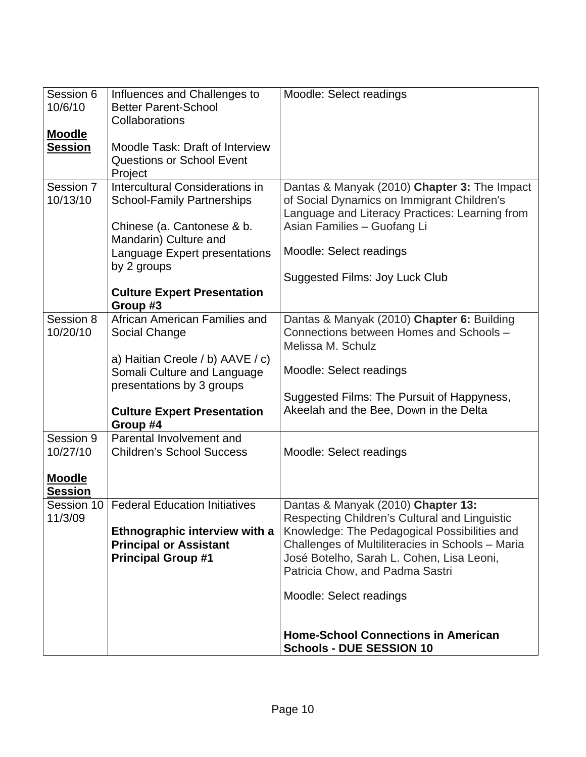| Session 6<br>10/6/10            | Influences and Challenges to<br><b>Better Parent-School</b><br>Collaborations                                                             | Moodle: Select readings                                                                                                                                                                                                                                                                            |
|---------------------------------|-------------------------------------------------------------------------------------------------------------------------------------------|----------------------------------------------------------------------------------------------------------------------------------------------------------------------------------------------------------------------------------------------------------------------------------------------------|
| <b>Moodle</b><br><b>Session</b> | Moodle Task: Draft of Interview<br><b>Questions or School Event</b><br>Project                                                            |                                                                                                                                                                                                                                                                                                    |
| Session 7<br>10/13/10           | Intercultural Considerations in<br><b>School-Family Partnerships</b><br>Chinese (a. Cantonese & b.<br>Mandarin) Culture and               | Dantas & Manyak (2010) Chapter 3: The Impact<br>of Social Dynamics on Immigrant Children's<br>Language and Literacy Practices: Learning from<br>Asian Families - Guofang Li                                                                                                                        |
|                                 | Language Expert presentations<br>by 2 groups                                                                                              | Moodle: Select readings                                                                                                                                                                                                                                                                            |
|                                 | <b>Culture Expert Presentation</b><br>Group #3                                                                                            | Suggested Films: Joy Luck Club                                                                                                                                                                                                                                                                     |
| Session 8<br>10/20/10           | African American Families and<br>Social Change                                                                                            | Dantas & Manyak (2010) Chapter 6: Building<br>Connections between Homes and Schools -<br>Melissa M. Schulz                                                                                                                                                                                         |
|                                 | a) Haitian Creole / b) AAVE / c)<br>Somali Culture and Language<br>presentations by 3 groups                                              | Moodle: Select readings                                                                                                                                                                                                                                                                            |
|                                 | <b>Culture Expert Presentation</b><br>Group #4                                                                                            | Suggested Films: The Pursuit of Happyness,<br>Akeelah and the Bee, Down in the Delta                                                                                                                                                                                                               |
| Session 9<br>10/27/10           | Parental Involvement and<br><b>Children's School Success</b>                                                                              | Moodle: Select readings                                                                                                                                                                                                                                                                            |
| <b>Moodle</b><br><b>Session</b> |                                                                                                                                           |                                                                                                                                                                                                                                                                                                    |
| 11/3/09                         | Session 10   Federal Education Initiatives<br>Ethnographic interview with a<br><b>Principal or Assistant</b><br><b>Principal Group #1</b> | Dantas & Manyak (2010) Chapter 13:<br>Respecting Children's Cultural and Linguistic<br>Knowledge: The Pedagogical Possibilities and<br>Challenges of Multiliteracies in Schools - Maria<br>José Botelho, Sarah L. Cohen, Lisa Leoni,<br>Patricia Chow, and Padma Sastri<br>Moodle: Select readings |
|                                 |                                                                                                                                           | <b>Home-School Connections in American</b><br><b>Schools - DUE SESSION 10</b>                                                                                                                                                                                                                      |